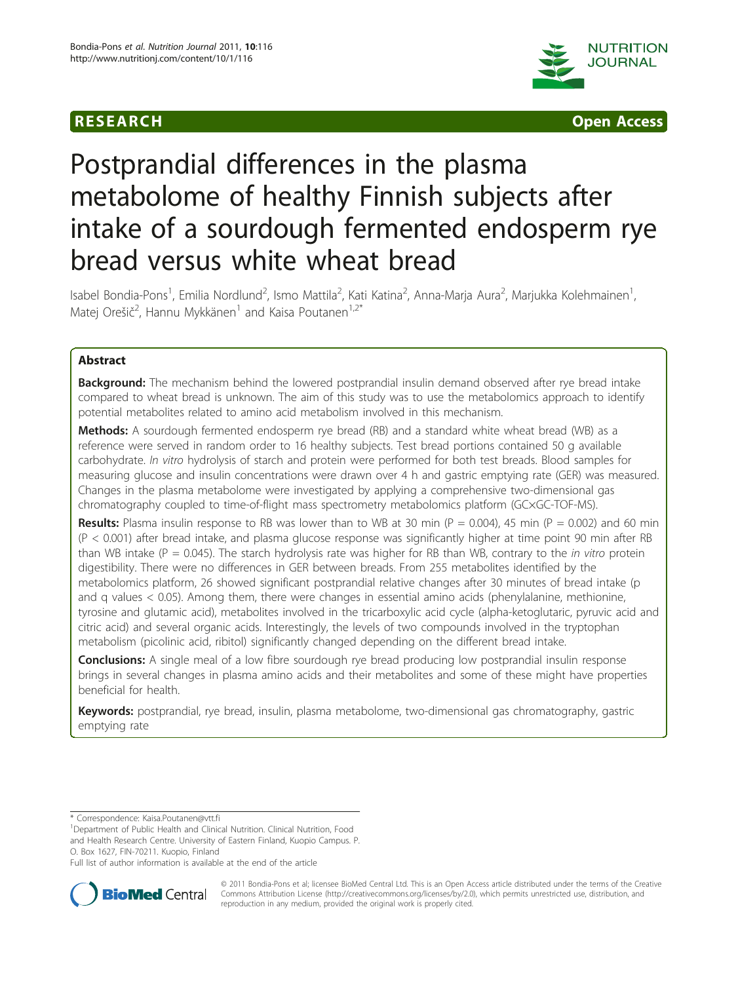



# Postprandial differences in the plasma metabolome of healthy Finnish subjects after intake of a sourdough fermented endosperm rye bread versus white wheat bread

Isabel Bondia-Pons<sup>1</sup>, Emilia Nordlund<sup>2</sup>, Ismo Mattila<sup>2</sup>, Kati Katina<sup>2</sup>, Anna-Marja Aura<sup>2</sup>, Marjukka Kolehmainen<sup>1</sup> , Matej Orešič<sup>2</sup>, Hannu Mykkänen<sup>1</sup> and Kaisa Poutanen<sup>1,2\*</sup>

# Abstract

**Background:** The mechanism behind the lowered postprandial insulin demand observed after rye bread intake compared to wheat bread is unknown. The aim of this study was to use the metabolomics approach to identify potential metabolites related to amino acid metabolism involved in this mechanism.

Methods: A sourdough fermented endosperm rye bread (RB) and a standard white wheat bread (WB) as a reference were served in random order to 16 healthy subjects. Test bread portions contained 50 g available carbohydrate. In vitro hydrolysis of starch and protein were performed for both test breads. Blood samples for measuring glucose and insulin concentrations were drawn over 4 h and gastric emptying rate (GER) was measured. Changes in the plasma metabolome were investigated by applying a comprehensive two-dimensional gas chromatography coupled to time-of-flight mass spectrometry metabolomics platform (GC×GC-TOF-MS).

**Results:** Plasma insulin response to RB was lower than to WB at 30 min (P = 0.004), 45 min (P = 0.002) and 60 min (P < 0.001) after bread intake, and plasma glucose response was significantly higher at time point 90 min after RB than WB intake ( $P = 0.045$ ). The starch hydrolysis rate was higher for RB than WB, contrary to the *in vitro* protein digestibility. There were no differences in GER between breads. From 255 metabolites identified by the metabolomics platform, 26 showed significant postprandial relative changes after 30 minutes of bread intake (p and q values < 0.05). Among them, there were changes in essential amino acids (phenylalanine, methionine, tyrosine and glutamic acid), metabolites involved in the tricarboxylic acid cycle (alpha-ketoglutaric, pyruvic acid and citric acid) and several organic acids. Interestingly, the levels of two compounds involved in the tryptophan metabolism (picolinic acid, ribitol) significantly changed depending on the different bread intake.

**Conclusions:** A single meal of a low fibre sourdough rye bread producing low postprandial insulin response brings in several changes in plasma amino acids and their metabolites and some of these might have properties beneficial for health.

Keywords: postprandial, rye bread, insulin, plasma metabolome, two-dimensional gas chromatography, gastric emptying rate

\* Correspondence: [Kaisa.Poutanen@vtt.fi](mailto:Kaisa.Poutanen@vtt.fi)

<sup>1</sup>Department of Public Health and Clinical Nutrition. Clinical Nutrition, Food and Health Research Centre. University of Eastern Finland, Kuopio Campus. P. O. Box 1627, FIN-70211. Kuopio, Finland

Full list of author information is available at the end of the article



© 2011 Bondia-Pons et al; licensee BioMed Central Ltd. This is an Open Access article distributed under the terms of the Creative Commons Attribution License [\(http://creativecommons.org/licenses/by/2.0](http://creativecommons.org/licenses/by/2.0)), which permits unrestricted use, distribution, and reproduction in any medium, provided the original work is properly cited.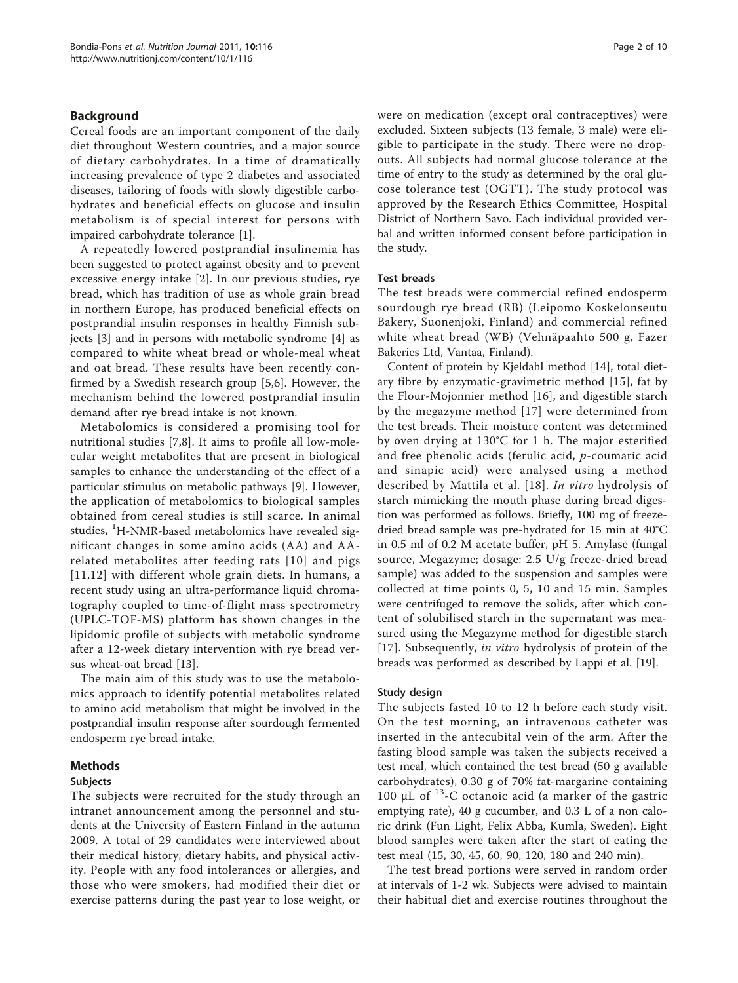# Background

Cereal foods are an important component of the daily diet throughout Western countries, and a major source of dietary carbohydrates. In a time of dramatically increasing prevalence of type 2 diabetes and associated diseases, tailoring of foods with slowly digestible carbohydrates and beneficial effects on glucose and insulin metabolism is of special interest for persons with impaired carbohydrate tolerance [[1\]](#page-8-0).

A repeatedly lowered postprandial insulinemia has been suggested to protect against obesity and to prevent excessive energy intake [[2\]](#page-8-0). In our previous studies, rye bread, which has tradition of use as whole grain bread in northern Europe, has produced beneficial effects on postprandial insulin responses in healthy Finnish subjects [[3\]](#page-8-0) and in persons with metabolic syndrome [[4\]](#page-8-0) as compared to white wheat bread or whole-meal wheat and oat bread. These results have been recently confirmed by a Swedish research group [[5,6](#page-8-0)]. However, the mechanism behind the lowered postprandial insulin demand after rye bread intake is not known.

Metabolomics is considered a promising tool for nutritional studies [\[7](#page-8-0),[8\]](#page-8-0). It aims to profile all low-molecular weight metabolites that are present in biological samples to enhance the understanding of the effect of a particular stimulus on metabolic pathways [\[9](#page-8-0)]. However, the application of metabolomics to biological samples obtained from cereal studies is still scarce. In animal studies, <sup>1</sup>H-NMR-based metabolomics have revealed significant changes in some amino acids (AA) and AArelated metabolites after feeding rats [[10\]](#page-8-0) and pigs [[11](#page-8-0),[12](#page-8-0)] with different whole grain diets. In humans, a recent study using an ultra-performance liquid chromatography coupled to time-of-flight mass spectrometry (UPLC-TOF-MS) platform has shown changes in the lipidomic profile of subjects with metabolic syndrome after a 12-week dietary intervention with rye bread versus wheat-oat bread [\[13](#page-8-0)].

The main aim of this study was to use the metabolomics approach to identify potential metabolites related to amino acid metabolism that might be involved in the postprandial insulin response after sourdough fermented endosperm rye bread intake.

# Methods

# Subjects

The subjects were recruited for the study through an intranet announcement among the personnel and students at the University of Eastern Finland in the autumn 2009. A total of 29 candidates were interviewed about their medical history, dietary habits, and physical activity. People with any food intolerances or allergies, and those who were smokers, had modified their diet or exercise patterns during the past year to lose weight, or were on medication (except oral contraceptives) were excluded. Sixteen subjects (13 female, 3 male) were eligible to participate in the study. There were no dropouts. All subjects had normal glucose tolerance at the time of entry to the study as determined by the oral glucose tolerance test (OGTT). The study protocol was approved by the Research Ethics Committee, Hospital District of Northern Savo. Each individual provided verbal and written informed consent before participation in the study.

# Test breads

The test breads were commercial refined endosperm sourdough rye bread (RB) (Leipomo Koskelonseutu Bakery, Suonenjoki, Finland) and commercial refined white wheat bread (WB) (Vehnäpaahto 500 g, Fazer Bakeries Ltd, Vantaa, Finland).

Content of protein by Kjeldahl method [[14\]](#page-8-0), total dietary fibre by enzymatic-gravimetric method [[15](#page-8-0)], fat by the Flour-Mojonnier method [[16](#page-8-0)], and digestible starch by the megazyme method [[17](#page-8-0)] were determined from the test breads. Their moisture content was determined by oven drying at 130°C for 1 h. The major esterified and free phenolic acids (ferulic acid, p-coumaric acid and sinapic acid) were analysed using a method described by Mattila et al. [[18](#page-8-0)]. In vitro hydrolysis of starch mimicking the mouth phase during bread digestion was performed as follows. Briefly, 100 mg of freezedried bread sample was pre-hydrated for 15 min at 40°C in 0.5 ml of 0.2 M acetate buffer, pH 5. Amylase (fungal source, Megazyme; dosage: 2.5 U/g freeze-dried bread sample) was added to the suspension and samples were collected at time points 0, 5, 10 and 15 min. Samples were centrifuged to remove the solids, after which content of solubilised starch in the supernatant was measured using the Megazyme method for digestible starch [[17](#page-8-0)]. Subsequently, *in vitro* hydrolysis of protein of the breads was performed as described by Lappi et al. [[19](#page-8-0)].

# Study design

The subjects fasted 10 to 12 h before each study visit. On the test morning, an intravenous catheter was inserted in the antecubital vein of the arm. After the fasting blood sample was taken the subjects received a test meal, which contained the test bread (50 g available carbohydrates), 0.30 g of 70% fat-margarine containing 100 μL of  $^{13}$ -C octanoic acid (a marker of the gastric emptying rate), 40 g cucumber, and 0.3 L of a non caloric drink (Fun Light, Felix Abba, Kumla, Sweden). Eight blood samples were taken after the start of eating the test meal (15, 30, 45, 60, 90, 120, 180 and 240 min).

The test bread portions were served in random order at intervals of 1-2 wk. Subjects were advised to maintain their habitual diet and exercise routines throughout the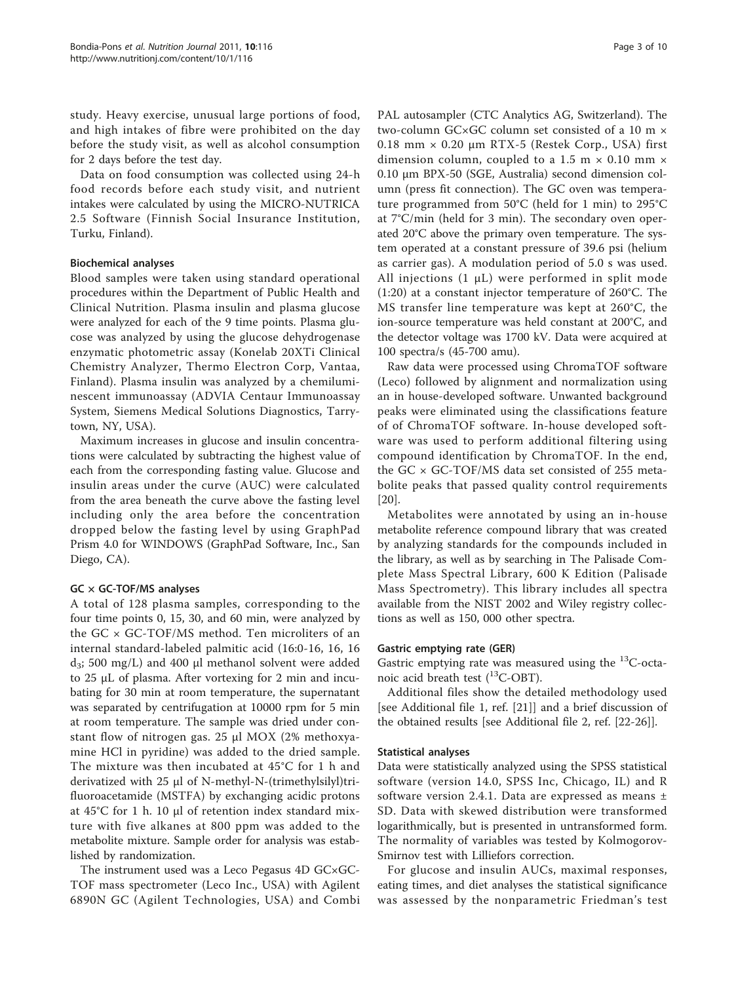study. Heavy exercise, unusual large portions of food, and high intakes of fibre were prohibited on the day before the study visit, as well as alcohol consumption for 2 days before the test day.

Data on food consumption was collected using 24-h food records before each study visit, and nutrient intakes were calculated by using the MICRO-NUTRICA 2.5 Software (Finnish Social Insurance Institution, Turku, Finland).

# Biochemical analyses

Blood samples were taken using standard operational procedures within the Department of Public Health and Clinical Nutrition. Plasma insulin and plasma glucose were analyzed for each of the 9 time points. Plasma glucose was analyzed by using the glucose dehydrogenase enzymatic photometric assay (Konelab 20XTi Clinical Chemistry Analyzer, Thermo Electron Corp, Vantaa, Finland). Plasma insulin was analyzed by a chemiluminescent immunoassay (ADVIA Centaur Immunoassay System, Siemens Medical Solutions Diagnostics, Tarrytown, NY, USA).

Maximum increases in glucose and insulin concentrations were calculated by subtracting the highest value of each from the corresponding fasting value. Glucose and insulin areas under the curve (AUC) were calculated from the area beneath the curve above the fasting level including only the area before the concentration dropped below the fasting level by using GraphPad Prism 4.0 for WINDOWS (GraphPad Software, Inc., San Diego, CA).

# $GC \times GC$ -TOF/MS analyses

A total of 128 plasma samples, corresponding to the four time points 0, 15, 30, and 60 min, were analyzed by the GC × GC-TOF/MS method. Ten microliters of an internal standard-labeled palmitic acid (16:0-16, 16, 16 d3; 500 mg/L) and 400 μl methanol solvent were added to 25 μL of plasma. After vortexing for 2 min and incubating for 30 min at room temperature, the supernatant was separated by centrifugation at 10000 rpm for 5 min at room temperature. The sample was dried under constant flow of nitrogen gas. 25 μl MOX (2% methoxyamine HCl in pyridine) was added to the dried sample. The mixture was then incubated at 45°C for 1 h and derivatized with 25 μl of N-methyl-N-(trimethylsilyl)trifluoroacetamide (MSTFA) by exchanging acidic protons at 45°C for 1 h. 10 μl of retention index standard mixture with five alkanes at 800 ppm was added to the metabolite mixture. Sample order for analysis was established by randomization.

The instrument used was a Leco Pegasus 4D GC×GC-TOF mass spectrometer (Leco Inc., USA) with Agilent 6890N GC (Agilent Technologies, USA) and Combi PAL autosampler (CTC Analytics AG, Switzerland). The two-column GC×GC column set consisted of a 10 m × 0.18 mm × 0.20 μm RTX-5 (Restek Corp., USA) first dimension column, coupled to a 1.5 m  $\times$  0.10 mm  $\times$ 0.10 μm BPX-50 (SGE, Australia) second dimension column (press fit connection). The GC oven was temperature programmed from 50°C (held for 1 min) to 295°C at 7°C/min (held for 3 min). The secondary oven operated 20°C above the primary oven temperature. The system operated at a constant pressure of 39.6 psi (helium as carrier gas). A modulation period of 5.0 s was used. All injections  $(1 \mu L)$  were performed in split mode (1:20) at a constant injector temperature of 260°C. The MS transfer line temperature was kept at 260°C, the ion-source temperature was held constant at 200°C, and the detector voltage was 1700 kV. Data were acquired at 100 spectra/s (45-700 amu).

Raw data were processed using ChromaTOF software (Leco) followed by alignment and normalization using an in house-developed software. Unwanted background peaks were eliminated using the classifications feature of of ChromaTOF software. In-house developed software was used to perform additional filtering using compound identification by ChromaTOF. In the end, the GC × GC-TOF/MS data set consisted of 255 metabolite peaks that passed quality control requirements [[20\]](#page-8-0).

Metabolites were annotated by using an in-house metabolite reference compound library that was created by analyzing standards for the compounds included in the library, as well as by searching in The Palisade Complete Mass Spectral Library, 600 K Edition (Palisade Mass Spectrometry). This library includes all spectra available from the NIST 2002 and Wiley registry collections as well as 150, 000 other spectra.

# Gastric emptying rate (GER)

Gastric emptying rate was measured using the  $^{13}$ C-octanoic acid breath test  $(^{13}C-OBT)$ .

Additional files show the detailed methodology used [see Additional file [1,](#page-8-0) ref. [[21\]](#page-8-0)] and a brief discussion of the obtained results [see Additional file [2,](#page-8-0) ref. [\[22](#page-8-0)-[26](#page-9-0)]].

# Statistical analyses

Data were statistically analyzed using the SPSS statistical software (version 14.0, SPSS Inc, Chicago, IL) and R software version 2.4.1. Data are expressed as means ± SD. Data with skewed distribution were transformed logarithmically, but is presented in untransformed form. The normality of variables was tested by Kolmogorov-Smirnov test with Lilliefors correction.

For glucose and insulin AUCs, maximal responses, eating times, and diet analyses the statistical significance was assessed by the nonparametric Friedman's test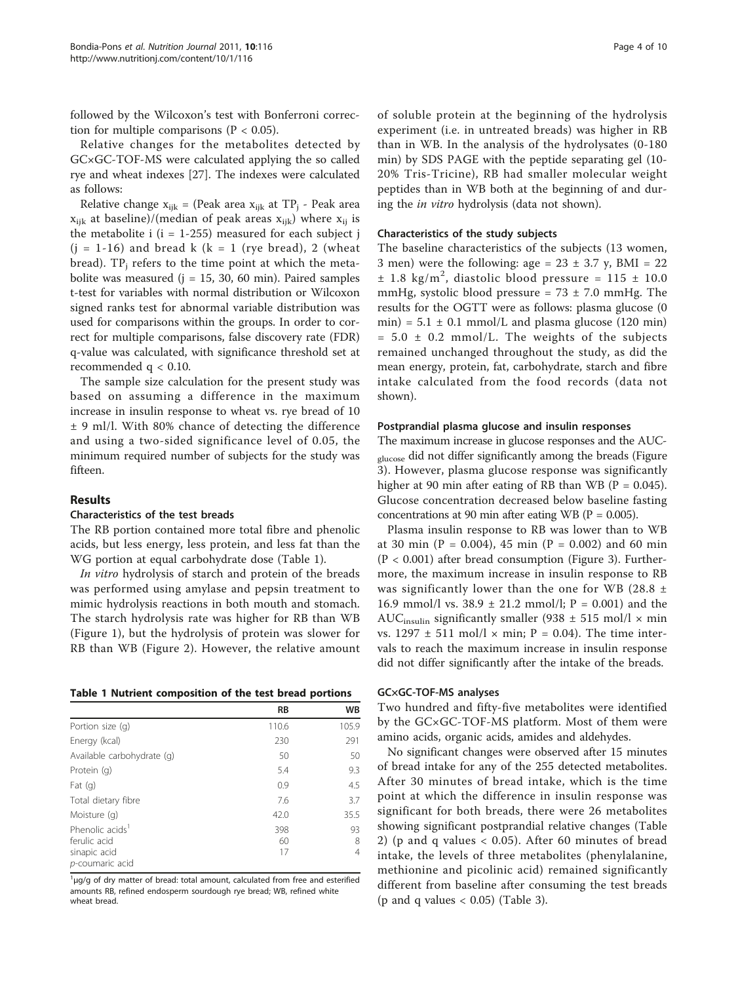followed by the Wilcoxon's test with Bonferroni correction for multiple comparisons ( $P < 0.05$ ).

Relative changes for the metabolites detected by GC×GC-TOF-MS were calculated applying the so called rye and wheat indexes [\[27](#page-9-0)]. The indexes were calculated as follows:

Relative change  $x_{ijk}$  = (Peak area  $x_{ijk}$  at TP<sub>i</sub> - Peak area  $x_{ijk}$  at baseline)/(median of peak areas  $x_{ijk}$ ) where  $x_{ij}$  is the metabolite i  $(i = 1-255)$  measured for each subject j  $(j = 1-16)$  and bread k (k = 1 (rye bread), 2 (wheat bread). TP<sub>i</sub> refers to the time point at which the metabolite was measured  $(j = 15, 30, 60 \text{ min})$ . Paired samples t-test for variables with normal distribution or Wilcoxon signed ranks test for abnormal variable distribution was used for comparisons within the groups. In order to correct for multiple comparisons, false discovery rate (FDR) q-value was calculated, with significance threshold set at recommended q < 0.10.

The sample size calculation for the present study was based on assuming a difference in the maximum increase in insulin response to wheat vs. rye bread of 10 ± 9 ml/l. With 80% chance of detecting the difference and using a two-sided significance level of 0.05, the minimum required number of subjects for the study was fifteen.

# Results

# Characteristics of the test breads

The RB portion contained more total fibre and phenolic acids, but less energy, less protein, and less fat than the WG portion at equal carbohydrate dose (Table 1).

In vitro hydrolysis of starch and protein of the breads was performed using amylase and pepsin treatment to mimic hydrolysis reactions in both mouth and stomach. The starch hydrolysis rate was higher for RB than WB (Figure [1](#page-4-0)), but the hydrolysis of protein was slower for RB than WB (Figure [2](#page-4-0)). However, the relative amount

|  |  | Table 1 Nutrient composition of the test bread portions |  |  |  |  |
|--|--|---------------------------------------------------------|--|--|--|--|
|--|--|---------------------------------------------------------|--|--|--|--|

| <b>RB</b>       | <b>WB</b>    |
|-----------------|--------------|
| 110.6           | 105.9        |
| 230             | 291          |
| 50              | 50           |
| 5.4             | 9.3          |
| 0.9             | 4.5          |
| 7.6             | 3.7          |
| 42.0            | 35.5         |
| 398<br>60<br>17 | 93<br>8<br>4 |
|                 |              |

 $1$ µg/g of dry matter of bread: total amount, calculated from free and esterified amounts RB, refined endosperm sourdough rye bread; WB, refined white wheat bread.

of soluble protein at the beginning of the hydrolysis experiment (i.e. in untreated breads) was higher in RB than in WB. In the analysis of the hydrolysates (0-180 min) by SDS PAGE with the peptide separating gel (10- 20% Tris-Tricine), RB had smaller molecular weight peptides than in WB both at the beginning of and during the in vitro hydrolysis (data not shown).

#### Characteristics of the study subjects

The baseline characteristics of the subjects (13 women, 3 men) were the following: age =  $23 \pm 3.7$  y, BMI =  $22$  $\pm$  1.8 kg/m<sup>2</sup>, diastolic blood pressure = 115  $\pm$  10.0 mmHg, systolic blood pressure =  $73 \pm 7.0$  mmHg. The results for the OGTT were as follows: plasma glucose (0  $min$ ) = 5.1  $\pm$  0.1 mmol/L and plasma glucose (120 min)  $= 5.0 \pm 0.2$  mmol/L. The weights of the subjects remained unchanged throughout the study, as did the mean energy, protein, fat, carbohydrate, starch and fibre intake calculated from the food records (data not shown).

#### Postprandial plasma glucose and insulin responses

The maximum increase in glucose responses and the AUCglucose did not differ significantly among the breads (Figure [3\)](#page-5-0). However, plasma glucose response was significantly higher at 90 min after eating of RB than WB ( $P = 0.045$ ). Glucose concentration decreased below baseline fasting concentrations at 90 min after eating WB ( $P = 0.005$ ).

Plasma insulin response to RB was lower than to WB at 30 min (P = 0.004), 45 min (P = 0.002) and 60 min  $(P < 0.001)$  after bread consumption (Figure [3\)](#page-5-0). Furthermore, the maximum increase in insulin response to RB was significantly lower than the one for WB (28.8  $\pm$ 16.9 mmol/l vs.  $38.9 \pm 21.2$  mmol/l; P = 0.001) and the AUC<sub>insulin</sub> significantly smaller (938  $\pm$  515 mol/l  $\times$  min vs. 1297  $\pm$  511 mol/l  $\times$  min; P = 0.04). The time intervals to reach the maximum increase in insulin response did not differ significantly after the intake of the breads.

#### GC×GC-TOF-MS analyses

Two hundred and fifty-five metabolites were identified by the GC×GC-TOF-MS platform. Most of them were amino acids, organic acids, amides and aldehydes.

No significant changes were observed after 15 minutes of bread intake for any of the 255 detected metabolites. After 30 minutes of bread intake, which is the time point at which the difference in insulin response was significant for both breads, there were 26 metabolites showing significant postprandial relative changes (Table [2\)](#page-6-0) (p and q values < 0.05). After 60 minutes of bread intake, the levels of three metabolites (phenylalanine, methionine and picolinic acid) remained significantly different from baseline after consuming the test breads (p and q values  $< 0.05$ ) (Table [3\)](#page-6-0).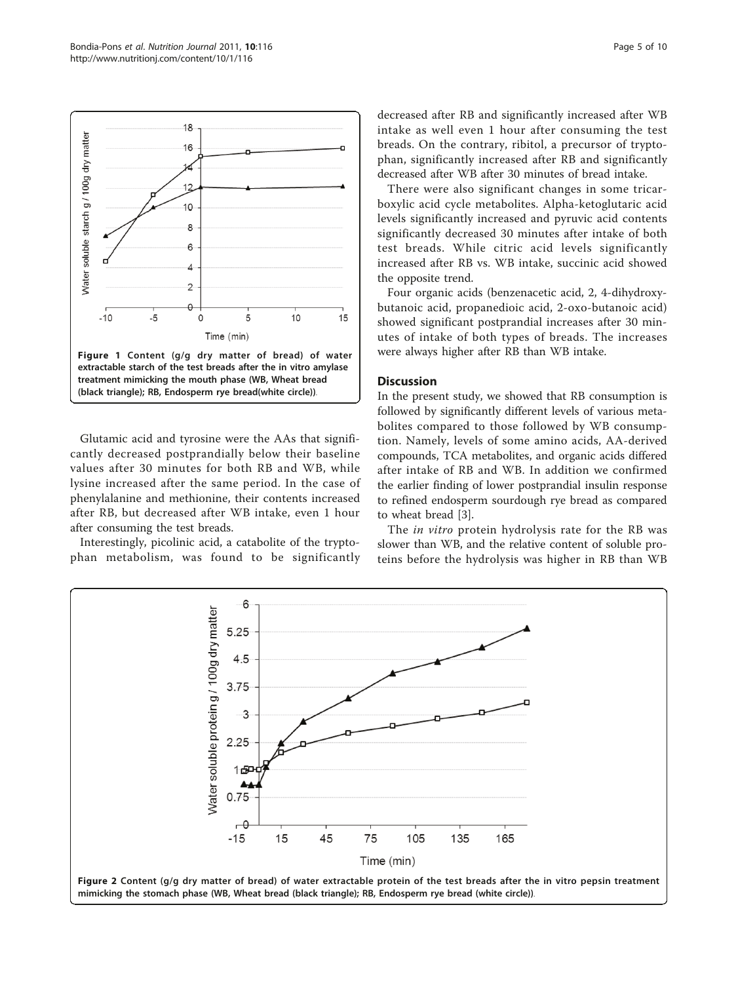<span id="page-4-0"></span>

Glutamic acid and tyrosine were the AAs that significantly decreased postprandially below their baseline values after 30 minutes for both RB and WB, while lysine increased after the same period. In the case of phenylalanine and methionine, their contents increased after RB, but decreased after WB intake, even 1 hour after consuming the test breads.

Interestingly, picolinic acid, a catabolite of the tryptophan metabolism, was found to be significantly decreased after RB and significantly increased after WB intake as well even 1 hour after consuming the test breads. On the contrary, ribitol, a precursor of tryptophan, significantly increased after RB and significantly decreased after WB after 30 minutes of bread intake.

There were also significant changes in some tricarboxylic acid cycle metabolites. Alpha-ketoglutaric acid levels significantly increased and pyruvic acid contents significantly decreased 30 minutes after intake of both test breads. While citric acid levels significantly increased after RB vs. WB intake, succinic acid showed the opposite trend.

Four organic acids (benzenacetic acid, 2, 4-dihydroxybutanoic acid, propanedioic acid, 2-oxo-butanoic acid) showed significant postprandial increases after 30 minutes of intake of both types of breads. The increases were always higher after RB than WB intake.

# **Discussion**

In the present study, we showed that RB consumption is followed by significantly different levels of various metabolites compared to those followed by WB consumption. Namely, levels of some amino acids, AA-derived compounds, TCA metabolites, and organic acids differed after intake of RB and WB. In addition we confirmed the earlier finding of lower postprandial insulin response to refined endosperm sourdough rye bread as compared to wheat bread [[3](#page-8-0)].

The *in vitro* protein hydrolysis rate for the RB was slower than WB, and the relative content of soluble proteins before the hydrolysis was higher in RB than WB

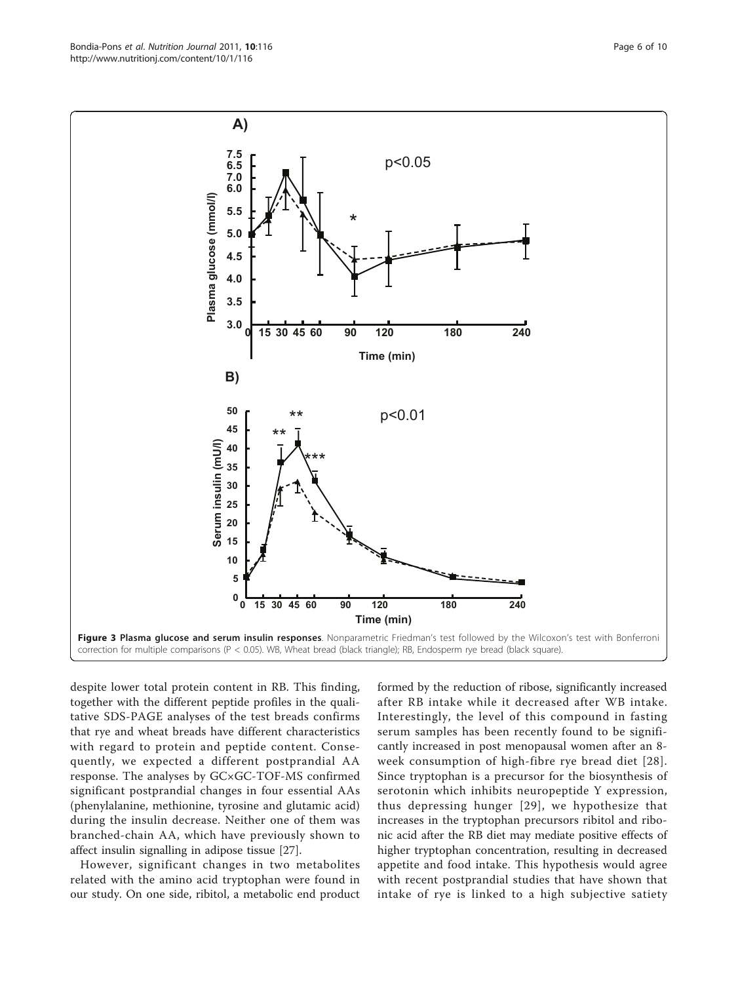<span id="page-5-0"></span>

despite lower total protein content in RB. This finding, together with the different peptide profiles in the qualitative SDS-PAGE analyses of the test breads confirms that rye and wheat breads have different characteristics with regard to protein and peptide content. Consequently, we expected a different postprandial AA response. The analyses by GC×GC-TOF-MS confirmed significant postprandial changes in four essential AAs (phenylalanine, methionine, tyrosine and glutamic acid) during the insulin decrease. Neither one of them was branched-chain AA, which have previously shown to affect insulin signalling in adipose tissue [[27](#page-9-0)].

However, significant changes in two metabolites related with the amino acid tryptophan were found in our study. On one side, ribitol, a metabolic end product formed by the reduction of ribose, significantly increased after RB intake while it decreased after WB intake. Interestingly, the level of this compound in fasting serum samples has been recently found to be significantly increased in post menopausal women after an 8 week consumption of high-fibre rye bread diet [[28\]](#page-9-0). Since tryptophan is a precursor for the biosynthesis of serotonin which inhibits neuropeptide Y expression, thus depressing hunger [[29\]](#page-9-0), we hypothesize that increases in the tryptophan precursors ribitol and ribonic acid after the RB diet may mediate positive effects of higher tryptophan concentration, resulting in decreased appetite and food intake. This hypothesis would agree with recent postprandial studies that have shown that intake of rye is linked to a high subjective satiety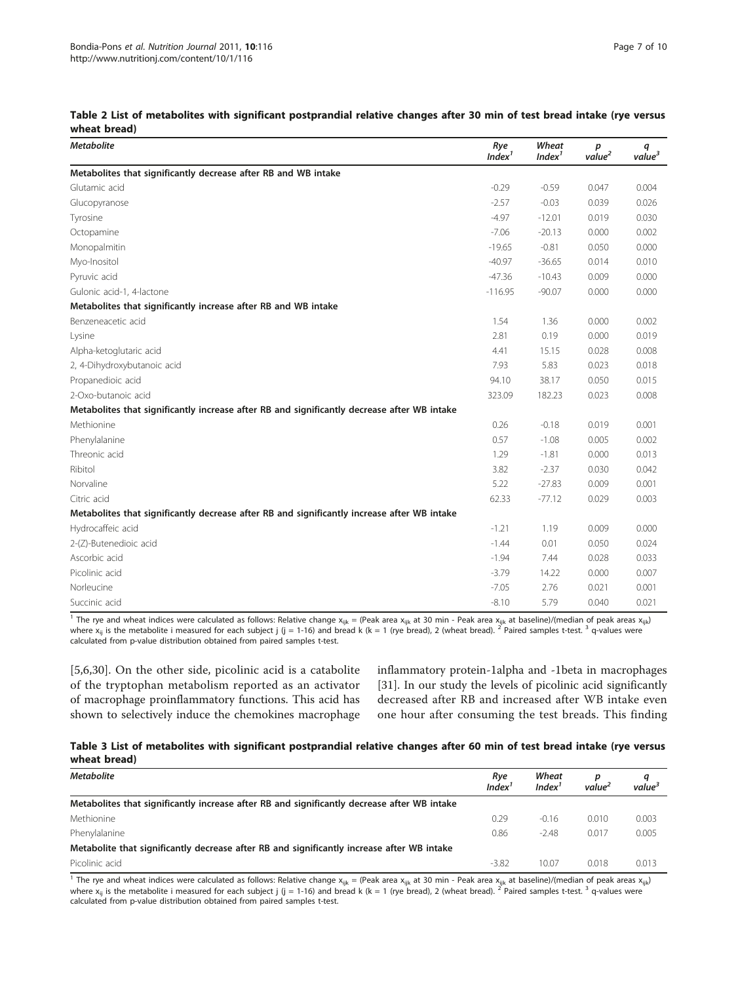| <b>Metabolite</b>                                                                           | Rye<br>Index <sup>1</sup> | Wheat              | р<br>value <sup>2</sup> | q<br>value <sup>3</sup> |
|---------------------------------------------------------------------------------------------|---------------------------|--------------------|-------------------------|-------------------------|
|                                                                                             |                           | Index <sup>1</sup> |                         |                         |
| Metabolites that significantly decrease after RB and WB intake                              |                           |                    |                         |                         |
| Glutamic acid                                                                               | $-0.29$                   | $-0.59$            | 0.047                   | 0.004                   |
| Glucopyranose                                                                               | $-2.57$                   | $-0.03$            | 0.039                   | 0.026                   |
| Tyrosine                                                                                    | $-4.97$                   | $-12.01$           | 0.019                   | 0.030                   |
| Octopamine                                                                                  | $-7.06$                   | $-20.13$           | 0.000                   | 0.002                   |
| Monopalmitin                                                                                | $-19.65$                  | $-0.81$            | 0.050                   | 0.000                   |
| Myo-Inositol                                                                                | $-40.97$                  | $-36.65$           | 0.014                   | 0.010                   |
| Pyruvic acid                                                                                | $-47.36$                  | $-10.43$           | 0.009                   | 0.000                   |
| Gulonic acid-1, 4-lactone                                                                   | $-116.95$                 | $-90.07$           | 0.000                   | 0.000                   |
| Metabolites that significantly increase after RB and WB intake                              |                           |                    |                         |                         |
| Benzeneacetic acid                                                                          | 1.54                      | 1.36               | 0.000                   | 0.002                   |
| Lysine                                                                                      | 2.81                      | 0.19               | 0.000                   | 0.019                   |
| Alpha-ketoglutaric acid                                                                     | 4.41                      | 15.15              | 0.028                   | 0.008                   |
| 2, 4-Dihydroxybutanoic acid                                                                 | 7.93                      | 5.83               | 0.023                   | 0.018                   |
| Propanedioic acid                                                                           | 94.10                     | 38.17              | 0.050                   | 0.015                   |
| 2-Oxo-butanoic acid                                                                         | 323.09                    | 182.23             | 0.023                   | 0.008                   |
| Metabolites that significantly increase after RB and significantly decrease after WB intake |                           |                    |                         |                         |
| Methionine                                                                                  | 0.26                      | $-0.18$            | 0.019                   | 0.001                   |
| Phenylalanine                                                                               | 0.57                      | $-1.08$            | 0.005                   | 0.002                   |
| Threonic acid                                                                               | 1.29                      | $-1.81$            | 0.000                   | 0.013                   |
| Ribitol                                                                                     | 3.82                      | $-2.37$            | 0.030                   | 0.042                   |
| Norvaline                                                                                   | 5.22                      | $-27.83$           | 0.009                   | 0.001                   |
| Citric acid                                                                                 | 62.33                     | $-77.12$           | 0.029                   | 0.003                   |
| Metabolites that significantly decrease after RB and significantly increase after WB intake |                           |                    |                         |                         |
| Hydrocaffeic acid                                                                           | $-1.21$                   | 1.19               | 0.009                   | 0.000                   |
| 2-(Z)-Butenedioic acid                                                                      | $-1.44$                   | 0.01               | 0.050                   | 0.024                   |
| Ascorbic acid                                                                               | $-1.94$                   | 7.44               | 0.028                   | 0.033                   |
| Picolinic acid                                                                              | $-3.79$                   | 14.22              | 0.000                   | 0.007                   |
| Norleucine                                                                                  | $-7.05$                   | 2.76               | 0.021                   | 0.001                   |
| Succinic acid                                                                               | $-8.10$                   | 5.79               | 0.040                   | 0.021                   |

# <span id="page-6-0"></span>Table 2 List of metabolites with significant postprandial relative changes after 30 min of test bread intake (rye versus wheat bread)

<sup>1</sup> The rye and wheat indices were calculated as follows: Relative change  $x_{ijk} = (Peak area x_{ijk}$  at 30 min - Peak area  $x_{ijk}$  at baseline)/(median of peak areas  $x_{ijk}$ ) where  $x_{ii}$  is the metabolite i measured for each subject j (j = 1-16) and bread k (k = 1 (rye bread), 2 (wheat bread). <sup>2</sup> Paired samples t-test. <sup>3</sup> q-values were calculated from p-value distribution obtained from paired samples t-test.

[[5,6](#page-8-0)[,30](#page-9-0)]. On the other side, picolinic acid is a catabolite of the tryptophan metabolism reported as an activator of macrophage proinflammatory functions. This acid has shown to selectively induce the chemokines macrophage inflammatory protein-1alpha and -1beta in macrophages [[31\]](#page-9-0). In our study the levels of picolinic acid significantly decreased after RB and increased after WB intake even one hour after consuming the test breads. This finding

# Table 3 List of metabolites with significant postprandial relative changes after 60 min of test bread intake (rye versus wheat bread)

| <b>Metabolite</b>                                                                           | Rye<br><b>Index</b> | Wheat<br>Index <sup>1</sup> | р<br>value | value |
|---------------------------------------------------------------------------------------------|---------------------|-----------------------------|------------|-------|
| Metabolites that significantly increase after RB and significantly decrease after WB intake |                     |                             |            |       |
| Methionine                                                                                  | 0.29                | $-0.16$                     | 0.010      | 0.003 |
| Phenylalanine                                                                               | 0.86                | $-2.48$                     | 0.017      | 0.005 |
| Metabolite that significantly decrease after RB and significantly increase after WB intake  |                     |                             |            |       |
| Picolinic acid                                                                              | $-3.82$             | 10.07                       | 0.018      | 0.013 |

<sup>1</sup> The rye and wheat indices were calculated as follows: Relative change  $x_{ijk}$  = (Peak area  $x_{ijk}$  at 30 min - Peak area  $x_{ijk}$  at baseline)/(median of peak areas  $x_{ijk}$ ) where  $x_{ij}$  is the metabolite i measured for each subject j (j = 1-16) and bread k (k = 1 (rye bread), 2 (wheat bread). <sup>2</sup> Paired samples t-test. <sup>3</sup> q-values were calculated from p-value distribution obtained from paired samples t-test.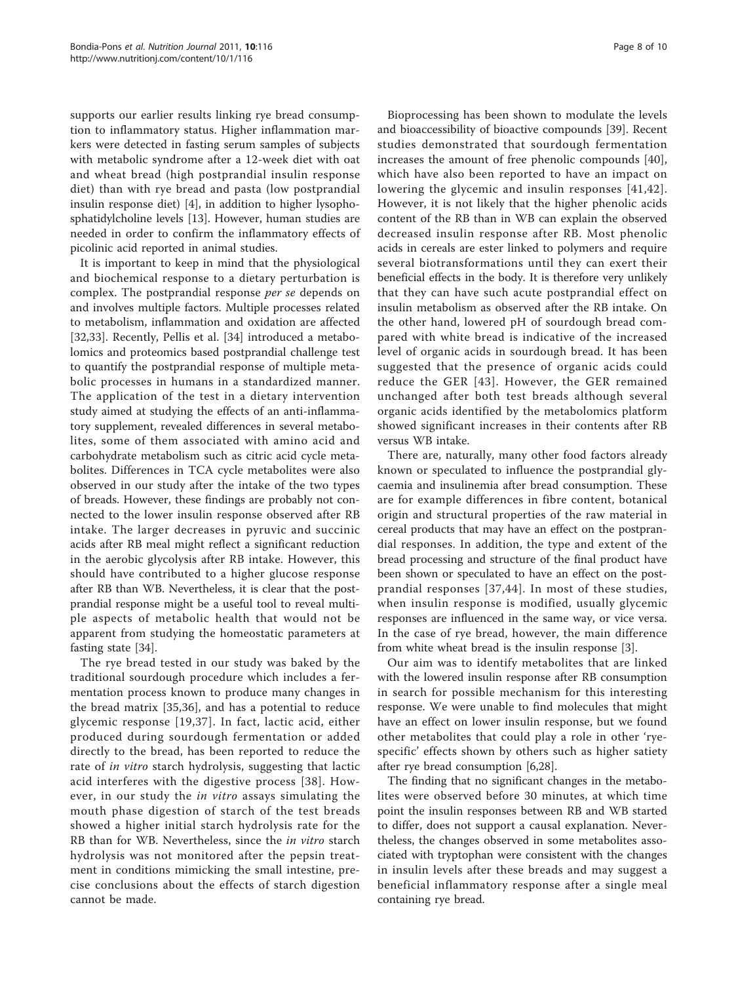supports our earlier results linking rye bread consumption to inflammatory status. Higher inflammation markers were detected in fasting serum samples of subjects with metabolic syndrome after a 12-week diet with oat and wheat bread (high postprandial insulin response diet) than with rye bread and pasta (low postprandial insulin response diet) [\[4](#page-8-0)], in addition to higher lysophosphatidylcholine levels [[13](#page-8-0)]. However, human studies are needed in order to confirm the inflammatory effects of picolinic acid reported in animal studies.

It is important to keep in mind that the physiological and biochemical response to a dietary perturbation is complex. The postprandial response per se depends on and involves multiple factors. Multiple processes related to metabolism, inflammation and oxidation are affected [[32,33\]](#page-9-0). Recently, Pellis et al. [[34](#page-9-0)] introduced a metabolomics and proteomics based postprandial challenge test to quantify the postprandial response of multiple metabolic processes in humans in a standardized manner. The application of the test in a dietary intervention study aimed at studying the effects of an anti-inflammatory supplement, revealed differences in several metabolites, some of them associated with amino acid and carbohydrate metabolism such as citric acid cycle metabolites. Differences in TCA cycle metabolites were also observed in our study after the intake of the two types of breads. However, these findings are probably not connected to the lower insulin response observed after RB intake. The larger decreases in pyruvic and succinic acids after RB meal might reflect a significant reduction in the aerobic glycolysis after RB intake. However, this should have contributed to a higher glucose response after RB than WB. Nevertheless, it is clear that the postprandial response might be a useful tool to reveal multiple aspects of metabolic health that would not be apparent from studying the homeostatic parameters at fasting state [[34\]](#page-9-0).

The rye bread tested in our study was baked by the traditional sourdough procedure which includes a fermentation process known to produce many changes in the bread matrix [[35,36\]](#page-9-0), and has a potential to reduce glycemic response [[19](#page-8-0),[37](#page-9-0)]. In fact, lactic acid, either produced during sourdough fermentation or added directly to the bread, has been reported to reduce the rate of in vitro starch hydrolysis, suggesting that lactic acid interferes with the digestive process [[38\]](#page-9-0). However, in our study the *in vitro* assays simulating the mouth phase digestion of starch of the test breads showed a higher initial starch hydrolysis rate for the RB than for WB. Nevertheless, since the in vitro starch hydrolysis was not monitored after the pepsin treatment in conditions mimicking the small intestine, precise conclusions about the effects of starch digestion cannot be made.

Bioprocessing has been shown to modulate the levels and bioaccessibility of bioactive compounds [\[39](#page-9-0)]. Recent studies demonstrated that sourdough fermentation increases the amount of free phenolic compounds [\[40](#page-9-0)], which have also been reported to have an impact on lowering the glycemic and insulin responses [\[41,42\]](#page-9-0). However, it is not likely that the higher phenolic acids content of the RB than in WB can explain the observed decreased insulin response after RB. Most phenolic acids in cereals are ester linked to polymers and require several biotransformations until they can exert their beneficial effects in the body. It is therefore very unlikely that they can have such acute postprandial effect on insulin metabolism as observed after the RB intake. On the other hand, lowered pH of sourdough bread compared with white bread is indicative of the increased level of organic acids in sourdough bread. It has been suggested that the presence of organic acids could reduce the GER [[43\]](#page-9-0). However, the GER remained unchanged after both test breads although several organic acids identified by the metabolomics platform showed significant increases in their contents after RB versus WB intake.

There are, naturally, many other food factors already known or speculated to influence the postprandial glycaemia and insulinemia after bread consumption. These are for example differences in fibre content, botanical origin and structural properties of the raw material in cereal products that may have an effect on the postprandial responses. In addition, the type and extent of the bread processing and structure of the final product have been shown or speculated to have an effect on the postprandial responses [[37](#page-9-0),[44](#page-9-0)]. In most of these studies, when insulin response is modified, usually glycemic responses are influenced in the same way, or vice versa. In the case of rye bread, however, the main difference from white wheat bread is the insulin response [[3](#page-8-0)].

Our aim was to identify metabolites that are linked with the lowered insulin response after RB consumption in search for possible mechanism for this interesting response. We were unable to find molecules that might have an effect on lower insulin response, but we found other metabolites that could play a role in other 'ryespecific' effects shown by others such as higher satiety after rye bread consumption [[6,](#page-8-0)[28\]](#page-9-0).

The finding that no significant changes in the metabolites were observed before 30 minutes, at which time point the insulin responses between RB and WB started to differ, does not support a causal explanation. Nevertheless, the changes observed in some metabolites associated with tryptophan were consistent with the changes in insulin levels after these breads and may suggest a beneficial inflammatory response after a single meal containing rye bread.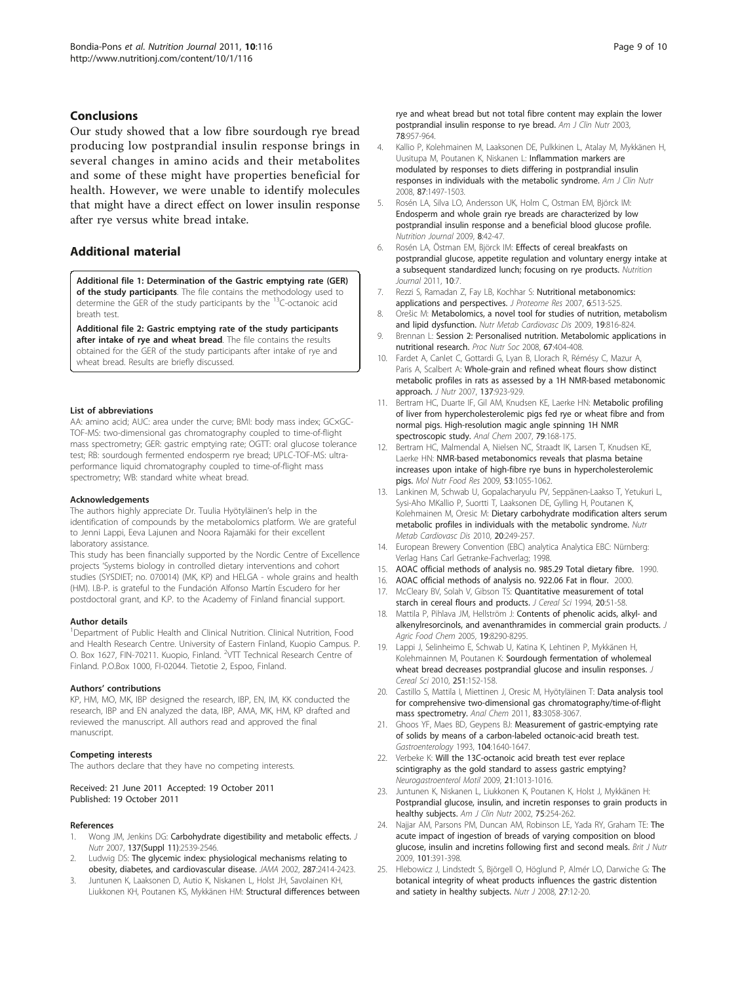# <span id="page-8-0"></span>Conclusions

Our study showed that a low fibre sourdough rye bread producing low postprandial insulin response brings in several changes in amino acids and their metabolites and some of these might have properties beneficial for health. However, we were unable to identify molecules that might have a direct effect on lower insulin response after rye versus white bread intake.

# Additional material

[Additional file 1: D](http://www.biomedcentral.com/content/supplementary/1475-2891-10-116-S1.DOCX)etermination of the Gastric emptying rate (GER) of the study participants. The file contains the methodology used to determine the GER of the study participants by the 13C-octanoic acid breath test.

[Additional file 2: G](http://www.biomedcentral.com/content/supplementary/1475-2891-10-116-S2.DOCX)astric emptying rate of the study participants after intake of rye and wheat bread. The file contains the results obtained for the GER of the study participants after intake of rye and wheat bread. Results are briefly discussed.

#### List of abbreviations

AA: amino acid; AUC: area under the curve; BMI: body mass index; GC×GC-TOF-MS: two-dimensional gas chromatography coupled to time-of-flight mass spectrometry; GER: gastric emptying rate; OGTT: oral glucose tolerance test; RB: sourdough fermented endosperm rye bread; UPLC-TOF-MS: ultraperformance liquid chromatography coupled to time-of-flight mass spectrometry; WB: standard white wheat bread.

#### Acknowledgements

The authors highly appreciate Dr. Tuulia Hyötyläinen's help in the identification of compounds by the metabolomics platform. We are grateful to Jenni Lappi, Eeva Lajunen and Noora Rajamäki for their excellent laboratory assistance.

This study has been financially supported by the Nordic Centre of Excellence projects 'Systems biology in controlled dietary interventions and cohort studies (SYSDIET; no. 070014) (MK, KP) and HELGA - whole grains and health (HM). I.B-P. is grateful to the Fundación Alfonso Martín Escudero for her postdoctoral grant, and K.P. to the Academy of Finland financial support.

#### Author details

<sup>1</sup>Department of Public Health and Clinical Nutrition. Clinical Nutrition, Food and Health Research Centre. University of Eastern Finland, Kuopio Campus. P. O. Box 1627, FIN-70211. Kuopio, Finland. <sup>2</sup>VTT Technical Research Centre of Finland. P.O.Box 1000, FI-02044. Tietotie 2, Espoo, Finland.

#### Authors' contributions

KP, HM, MO, MK, IBP designed the research, IBP, EN, IM, KK conducted the research, IBP and EN analyzed the data, IBP, AMA, MK, HM, KP drafted and reviewed the manuscript. All authors read and approved the final manuscript.

#### Competing interests

The authors declare that they have no competing interests.

#### Received: 21 June 2011 Accepted: 19 October 2011 Published: 19 October 2011

#### References

- Wong JM, Jenkins DG: Carbohydrate digestibility and metabolic effects. J Nutr 2007, 137(Suppl 11):2539-2546.
- Ludwig DS: [The glycemic index: physiological mechanisms relating to](http://www.ncbi.nlm.nih.gov/pubmed/11988062?dopt=Abstract) [obesity, diabetes, and cardiovascular disease.](http://www.ncbi.nlm.nih.gov/pubmed/11988062?dopt=Abstract) JAMA 2002, 287:2414-2423.
- 3. Juntunen K, Laaksonen D, Autio K, Niskanen L, Holst JH, Savolainen KH, Liukkonen KH, Poutanen KS, Mykkänen HM: [Structural differences between](http://www.ncbi.nlm.nih.gov/pubmed/14594782?dopt=Abstract)

Page 9 of 10

[rye and wheat bread but not total fibre content may explain the lower](http://www.ncbi.nlm.nih.gov/pubmed/14594782?dopt=Abstract) [postprandial insulin response to rye bread.](http://www.ncbi.nlm.nih.gov/pubmed/14594782?dopt=Abstract) Am J Clin Nutr 2003, 78:957-964.

- 4. Kallio P, Kolehmainen M, Laaksonen DE, Pulkkinen L, Atalay M, Mykkänen H, Uusitupa M, Poutanen K, Niskanen L: [Inflammation markers are](http://www.ncbi.nlm.nih.gov/pubmed/18469276?dopt=Abstract) [modulated by responses to diets differing in postprandial insulin](http://www.ncbi.nlm.nih.gov/pubmed/18469276?dopt=Abstract) [responses in individuals with the metabolic syndrome.](http://www.ncbi.nlm.nih.gov/pubmed/18469276?dopt=Abstract) Am J Clin Nutr 2008, 87:1497-1503.
- 5. Rosén LA, Silva LO, Andersson UK, Holm C, Ostman EM, Björck IM: [Endosperm and whole grain rye breads are characterized by low](http://www.ncbi.nlm.nih.gov/pubmed/19781071?dopt=Abstract) [postprandial insulin response and a beneficial blood glucose profile.](http://www.ncbi.nlm.nih.gov/pubmed/19781071?dopt=Abstract) Nutrition Journal 2009, 8:42-47.
- 6. Rosén LA, Östman EM, Björck IM: [Effects of cereal breakfasts on](http://www.ncbi.nlm.nih.gov/pubmed/21247415?dopt=Abstract) [postprandial glucose, appetite regulation and voluntary energy intake at](http://www.ncbi.nlm.nih.gov/pubmed/21247415?dopt=Abstract) [a subsequent standardized lunch; focusing on rye products.](http://www.ncbi.nlm.nih.gov/pubmed/21247415?dopt=Abstract) Nutrition Journal 2011, 10:7.
- 7. Rezzi S, Ramadan Z, Fay LB, Kochhar S: [Nutritional metabonomics:](http://www.ncbi.nlm.nih.gov/pubmed/17269708?dopt=Abstract) [applications and perspectives.](http://www.ncbi.nlm.nih.gov/pubmed/17269708?dopt=Abstract) J Proteome Res 2007, 6:513-525.
- 8. Orešic M: [Metabolomics, a novel tool for studies of nutrition, metabolism](http://www.ncbi.nlm.nih.gov/pubmed/19692215?dopt=Abstract) [and lipid dysfunction.](http://www.ncbi.nlm.nih.gov/pubmed/19692215?dopt=Abstract) Nutr Metab Cardiovasc Dis 2009, 19:816-824.
- 9. Brennan L: [Session 2: Personalised nutrition. Metabolomic applications in](http://www.ncbi.nlm.nih.gov/pubmed/18847517?dopt=Abstract) [nutritional research.](http://www.ncbi.nlm.nih.gov/pubmed/18847517?dopt=Abstract) Proc Nutr Soc 2008, 67:404-408.
- 10. Fardet A, Canlet C, Gottardi G, Lyan B, Llorach R, Rémésy C, Mazur A, Paris A, Scalbert A: [Whole-grain and refined wheat flours show distinct](http://www.ncbi.nlm.nih.gov/pubmed/17374655?dopt=Abstract) [metabolic profiles in rats as assessed by a 1H NMR-based metabonomic](http://www.ncbi.nlm.nih.gov/pubmed/17374655?dopt=Abstract) [approach.](http://www.ncbi.nlm.nih.gov/pubmed/17374655?dopt=Abstract) J Nutr 2007, 137:923-929.
- 11. Bertram HC, Duarte IF, Gil AM, Knudsen KE, Laerke HN: [Metabolic profiling](http://www.ncbi.nlm.nih.gov/pubmed/17194135?dopt=Abstract) [of liver from hypercholesterolemic pigs fed rye or wheat fibre and from](http://www.ncbi.nlm.nih.gov/pubmed/17194135?dopt=Abstract) [normal pigs. High-resolution magic angle spinning 1H NMR](http://www.ncbi.nlm.nih.gov/pubmed/17194135?dopt=Abstract) [spectroscopic study.](http://www.ncbi.nlm.nih.gov/pubmed/17194135?dopt=Abstract) Anal Chem 2007, 79:168-175.
- 12. Bertram HC, Malmendal A, Nielsen NC, Straadt IK, Larsen T, Knudsen KE, Laerke HN: [NMR-based metabonomics reveals that plasma betaine](http://www.ncbi.nlm.nih.gov/pubmed/19603403?dopt=Abstract) [increases upon intake of high-fibre rye buns in hypercholesterolemic](http://www.ncbi.nlm.nih.gov/pubmed/19603403?dopt=Abstract) [pigs.](http://www.ncbi.nlm.nih.gov/pubmed/19603403?dopt=Abstract) Mol Nutr Food Res 2009, 53:1055-1062.
- 13. Lankinen M, Schwab U, Gopalacharyulu PV, Seppänen-Laakso T, Yetukuri L, Sysi-Aho MKallio P, Suortti T, Laaksonen DE, Gylling H, Poutanen K, Kolehmainen M, Oresic M: [Dietary carbohydrate modification alters serum](http://www.ncbi.nlm.nih.gov/pubmed/19553094?dopt=Abstract) [metabolic profiles in individuals with the metabolic syndrome.](http://www.ncbi.nlm.nih.gov/pubmed/19553094?dopt=Abstract) Nutr Metab Cardiovasc Dis 2010, 20:249-257.
- 14. European Brewery Convention (EBC) analytica Analytica EBC: Nürnberg: Verlag Hans Carl Getranke-Fachverlag; 1998.
- 15. AOAC official methods of analysis no. 985.29 Total dietary fibre. 1990.
- 16. AOAC official methods of analysis no. 922.06 Fat in flour. 2000.
- 17. McCleary BV, Solah V, Gibson TS: Quantitative measurement of total starch in cereal flours and products. J Cereal Sci 1994, 20:51-58.
- 18. Mattila P, Pihlava JM, Hellström J: Contents of phenolic acids, alkyl- and alkenylresorcinols, and avenanthramides in commercial grain products. J Agric Food Chem 2005, 19:8290-8295.
- 19. Lappi J, Selinheimo E, Schwab U, Katina K, Lehtinen P, Mykkänen H, Kolehmainnen M, Poutanen K: Sourdough fermentation of wholemeal wheat bread decreases postprandial glucose and insulin responses. J Cereal Sci 2010, 251:152-158.
- 20. Castillo S, Mattila I, Miettinen J, Oresic M, Hyötyläinen T: [Data analysis tool](http://www.ncbi.nlm.nih.gov/pubmed/21434611?dopt=Abstract) [for comprehensive two-dimensional gas chromatography/time-of-flight](http://www.ncbi.nlm.nih.gov/pubmed/21434611?dopt=Abstract) [mass spectrometry.](http://www.ncbi.nlm.nih.gov/pubmed/21434611?dopt=Abstract) Anal Chem 2011, 83:3058-3067.
- 21. Ghoos YF, Maes BD, Geypens BJ: [Measurement of gastric-emptying rate](http://www.ncbi.nlm.nih.gov/pubmed/8500721?dopt=Abstract) [of solids by means of a carbon-labeled octanoic-acid breath test.](http://www.ncbi.nlm.nih.gov/pubmed/8500721?dopt=Abstract) Gastroenterology 1993, 104:1640-1647.
- 22. Verbeke K: [Will the 13C-octanoic acid breath test ever replace](http://www.ncbi.nlm.nih.gov/pubmed/19737258?dopt=Abstract) [scintigraphy as the gold standard to assess gastric emptying?](http://www.ncbi.nlm.nih.gov/pubmed/19737258?dopt=Abstract) Neurogastroenterol Motil 2009, 21:1013-1016.
- 23. Juntunen K, Niskanen L, Liukkonen K, Poutanen K, Holst J, Mykkänen H: [Postprandial glucose, insulin, and incretin responses to grain products in](http://www.ncbi.nlm.nih.gov/pubmed/11815315?dopt=Abstract) [healthy subjects.](http://www.ncbi.nlm.nih.gov/pubmed/11815315?dopt=Abstract) Am J Clin Nutr 2002, 75:254-262.
- 24. Najjar AM, Parsons PM, Duncan AM, Robinson LE, Yada RY, Graham TE: [The](http://www.ncbi.nlm.nih.gov/pubmed/18570696?dopt=Abstract) [acute impact of ingestion of breads of varying composition on blood](http://www.ncbi.nlm.nih.gov/pubmed/18570696?dopt=Abstract) [glucose, insulin and incretins following first and second meals.](http://www.ncbi.nlm.nih.gov/pubmed/18570696?dopt=Abstract) Brit J Nutr 2009, 101:391-398.
- 25. Hlebowicz J, Lindstedt S, Björgell O, Höglund P, Almér LO, Darwiche G: The botanical integrity of wheat products influences the gastric distention and satiety in healthy subjects. Nutr J 2008, 27:12-20.